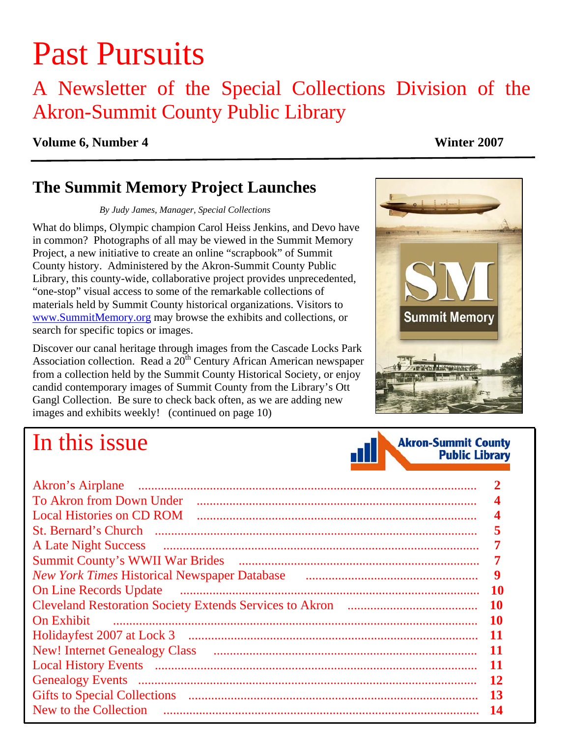# Past Pursuits

### A Newsletter of the Special Collections Division of the Akron-Summit County Public Library

#### **Volume 6, Number 4 Winter 2007**

### **The Summit Memory Project Launches**

*By Judy James, Manager, Special Collections* 

What do blimps, Olympic champion Carol Heiss Jenkins, and Devo have in common? Photographs of all may be viewed in the Summit Memory Project, a new initiative to create an online "scrapbook" of Summit County history. Administered by the Akron-Summit County Public Library, this county-wide, collaborative project provides unprecedented, "one-stop" visual access to some of the remarkable collections of materials held by Summit County historical organizations. Visitors to [www.SummitMemory.org](http://www.summitmemory.org/) may browse the exhibits and collections, or search for specific topics or images.

Discover our canal heritage through images from the Cascade Locks Park Association collection. Read a  $20<sup>th</sup>$  Century African American newspaper from a collection held by the Summit County Historical Society, or enjoy candid contemporary images of Summit County from the Library's Ott Gangl Collection. Be sure to check back often, as we are adding new images and exhibits weekly! [\(continued on page 10\)](#page-9-0)

## In this issue

| To Akron from Down Under                                                                                 | 4  |
|----------------------------------------------------------------------------------------------------------|----|
| <b>Local Histories on CD ROM</b>                                                                         |    |
|                                                                                                          |    |
| <b>A Late Night Success</b>                                                                              | 7  |
|                                                                                                          | 7  |
| New York Times Historical Newspaper Database <b>Constanting Tork Times Historical Newspaper Database</b> | 9  |
| <b>On Line Records Update</b>                                                                            | 10 |
|                                                                                                          | 10 |
| <b>On Exhibit</b>                                                                                        | 10 |
|                                                                                                          | 11 |
|                                                                                                          | 11 |
|                                                                                                          | 11 |
|                                                                                                          | 12 |
|                                                                                                          | 13 |
| New to the Collection                                                                                    | 14 |
|                                                                                                          |    |



**Akron-Summit County** 

**Public Library**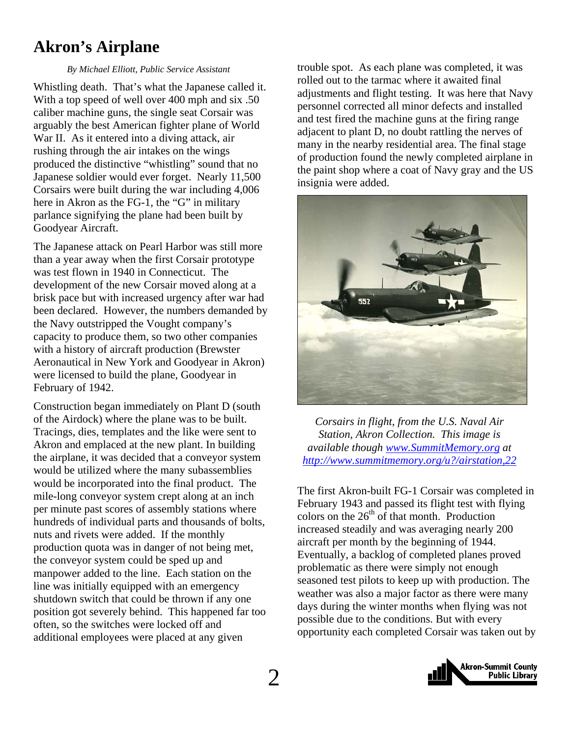### <span id="page-1-0"></span>**Akron's Airplane**

#### *By Michael Elliott, Public Service Assistant*

Whistling death. That's what the Japanese called it. With a top speed of well over 400 mph and six .50 caliber machine guns, the single seat Corsair was arguably the best American fighter plane of World War II. As it entered into a diving attack, air rushing through the air intakes on the wings produced the distinctive "whistling" sound that no Japanese soldier would ever forget. Nearly 11,500 Corsairs were built during the war including 4,006 here in Akron as the FG-1, the "G" in military parlance signifying the plane had been built by Goodyear Aircraft.

The Japanese attack on Pearl Harbor was still more than a year away when the first Corsair prototype was test flown in 1940 in Connecticut. The development of the new Corsair moved along at a brisk pace but with increased urgency after war had been declared. However, the numbers demanded by the Navy outstripped the Vought company's capacity to produce them, so two other companies with a history of aircraft production (Brewster Aeronautical in New York and Goodyear in Akron) were licensed to build the plane, Goodyear in February of 1942.

Construction began immediately on Plant D (south of the Airdock) where the plane was to be built. Tracings, dies, templates and the like were sent to Akron and emplaced at the new plant. In building the airplane, it was decided that a conveyor system would be utilized where the many subassemblies would be incorporated into the final product. The mile-long conveyor system crept along at an inch per minute past scores of assembly stations where hundreds of individual parts and thousands of bolts, nuts and rivets were added. If the monthly production quota was in danger of not being met, the conveyor system could be sped up and manpower added to the line. Each station on the line was initially equipped with an emergency shutdown switch that could be thrown if any one position got severely behind. This happened far too often, so the switches were locked off and additional employees were placed at any given

trouble spot. As each plane was completed, it was rolled out to the tarmac where it awaited final adjustments and flight testing. It was here that Navy personnel corrected all minor defects and installed and test fired the machine guns at the firing range adjacent to plant D, no doubt rattling the nerves of many in the nearby residential area. The final stage of production found the newly completed airplane in the paint shop where a coat of Navy gray and the US insignia were added.



*Corsairs in flight, from the U.S. Naval Air Station, Akron Collection. This image is available though [www.SummitMemory.org](http://www.summitmemory.org/) at <http://www.summitmemory.org/u?/airstation,22>*

The first Akron-built FG-1 Corsair was completed in February 1943 and passed its flight test with flying colors on the  $26<sup>th</sup>$  of that month. Production increased steadily and was averaging nearly 200 aircraft per month by the beginning of 1944. Eventually, a backlog of completed planes proved problematic as there were simply not enough seasoned test pilots to keep up with production. The weather was also a major factor as there were many days during the winter months when flying was not possible due to the conditions. But with every opportunity each completed Corsair was taken out by

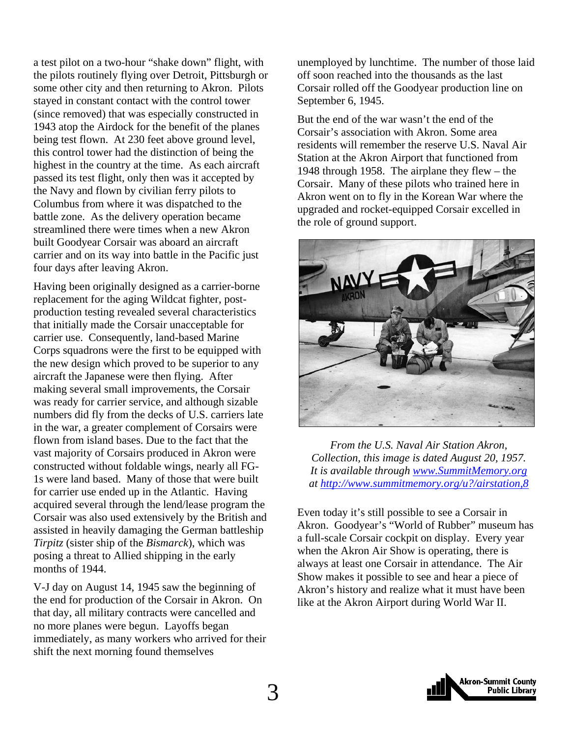a test pilot on a two-hour "shake down" flight, with the pilots routinely flying over Detroit, Pittsburgh or some other city and then returning to Akron. Pilots stayed in constant contact with the control tower (since removed) that was especially constructed in 1943 atop the Airdock for the benefit of the planes being test flown. At 230 feet above ground level, this control tower had the distinction of being the highest in the country at the time. As each aircraft passed its test flight, only then was it accepted by the Navy and flown by civilian ferry pilots to Columbus from where it was dispatched to the battle zone. As the delivery operation became streamlined there were times when a new Akron built Goodyear Corsair was aboard an aircraft carrier and on its way into battle in the Pacific just four days after leaving Akron.

Having been originally designed as a carrier-borne replacement for the aging Wildcat fighter, postproduction testing revealed several characteristics that initially made the Corsair unacceptable for carrier use. Consequently, land-based Marine Corps squadrons were the first to be equipped with the new design which proved to be superior to any aircraft the Japanese were then flying. After making several small improvements, the Corsair was ready for carrier service, and although sizable numbers did fly from the decks of U.S. carriers late in the war, a greater complement of Corsairs were flown from island bases. Due to the fact that the vast majority of Corsairs produced in Akron were constructed without foldable wings, nearly all FG-1s were land based. Many of those that were built for carrier use ended up in the Atlantic. Having acquired several through the lend/lease program the Corsair was also used extensively by the British and assisted in heavily damaging the German battleship *Tirpitz* (sister ship of the *Bismarck*), which was posing a threat to Allied shipping in the early months of 1944.

V-J day on August 14, 1945 saw the beginning of the end for production of the Corsair in Akron. On that day, all military contracts were cancelled and no more planes were begun. Layoffs began immediately, as many workers who arrived for their shift the next morning found themselves

unemployed by lunchtime. The number of those laid off soon reached into the thousands as the last Corsair rolled off the Goodyear production line on September 6, 1945.

But the end of the war wasn't the end of the Corsair's association with Akron. Some area residents will remember the reserve U.S. Naval Air Station at the Akron Airport that functioned from 1948 through 1958. The airplane they flew – the Corsair. Many of these pilots who trained here in Akron went on to fly in the Korean War where the upgraded and rocket-equipped Corsair excelled in the role of ground support.



*From the U.S. Naval Air Station Akron, Collection, this image is dated August 20, 1957. It is available through [www.SummitMemory.org](http://www.summitmemory.org/) at<http://www.summitmemory.org/u?/airstation,8>*

Even today it's still possible to see a Corsair in Akron. Goodyear's "World of Rubber" museum has a full-scale Corsair cockpit on display. Every year when the Akron Air Show is operating, there is always at least one Corsair in attendance. The Air Show makes it possible to see and hear a piece of Akron's history and realize what it must have been like at the Akron Airport during World War II.

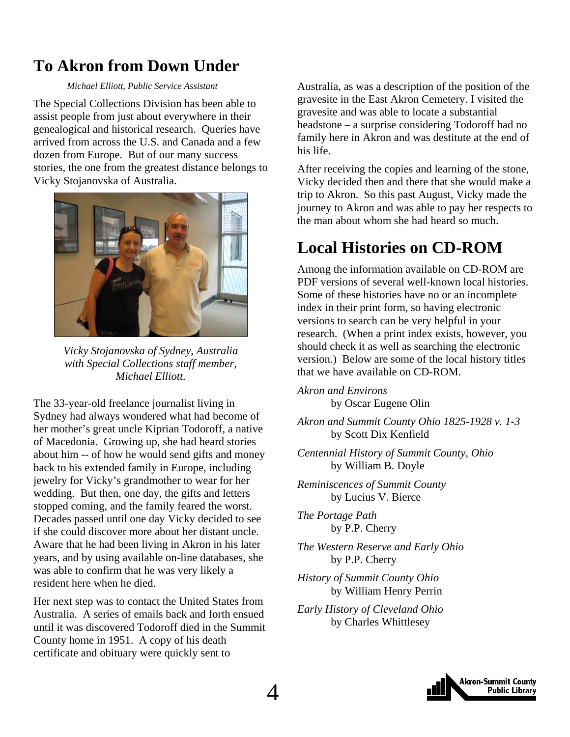### <span id="page-3-0"></span>**To Akron from Down Under**

#### *Michael Elliott, Public Service Assistant*

The Special Collections Division has been able to assist people from just about everywhere in their genealogical and historical research. Queries have arrived from across the U.S. and Canada and a few dozen from Europe. But of our many success stories, the one from the greatest distance belongs to Vicky Stojanovska of Australia.



*Vicky Stojanovska of Sydney, Australia with Special Collections staff member, Michael Elliott.* 

The 33-year-old freelance journalist living in Sydney had always wondered what had become of her mother's great uncle Kiprian Todoroff, a native of Macedonia. Growing up, she had heard stories about him -- of how he would send gifts and money back to his extended family in Europe, including jewelry for Vicky's grandmother to wear for her wedding. But then, one day, the gifts and letters stopped coming, and the family feared the worst. Decades passed until one day Vicky decided to see if she could discover more about her distant uncle. Aware that he had been living in Akron in his later years, and by using available on-line databases, she was able to confirm that he was very likely a resident here when he died.

Her next step was to contact the United States from Australia. A series of emails back and forth ensued until it was discovered Todoroff died in the Summit County home in 1951. A copy of his death certificate and obituary were quickly sent to

Australia, as was a description of the position of the gravesite in the East Akron Cemetery. I visited the gravesite and was able to locate a substantial headstone – a surprise considering Todoroff had no family here in Akron and was destitute at the end of his life.

After receiving the copies and learning of the stone, Vicky decided then and there that she would make a trip to Akron. So this past August, Vicky made the journey to Akron and was able to pay her respects to the man about whom she had heard so much.

### **Local Histories on CD-ROM**

Among the information available on CD-ROM are PDF versions of several well-known local histories. Some of these histories have no or an incomplete index in their print form, so having electronic versions to search can be very helpful in your research. (When a print index exists, however, you should check it as well as searching the electronic version.) Below are some of the local history titles that we have available on CD-ROM.

*Akron and Environs* by Oscar Eugene Olin *Akron and Summit County Ohio 1825-1928 v. 1-3*

by Scott Dix Kenfield *Centennial History of Summit County, Ohio*

by William B. Doyle

*Reminiscences of Summit County* by Lucius V. Bierce

*The Portage Path* by P.P. Cherry

*The Western Reserve and Early Ohio*  by P.P. Cherry

*History of Summit County Ohio*  by William Henry Perrin

*Early History of Cleveland Ohio* by Charles Whittlesey

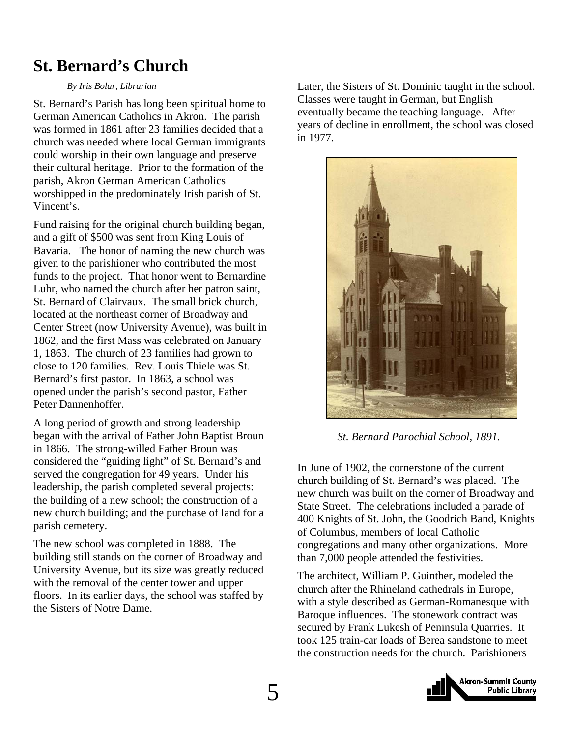### <span id="page-4-0"></span>**St. Bernard's Church**

#### *By Iris Bolar, Librarian*

St. Bernard's Parish has long been spiritual home to German American Catholics in Akron. The parish was formed in 1861 after 23 families decided that a church was needed where local German immigrants could worship in their own language and preserve their cultural heritage. Prior to the formation of the parish, Akron German American Catholics worshipped in the predominately Irish parish of St. Vincent's.

Fund raising for the original church building began, and a gift of \$500 was sent from King Louis of Bavaria. The honor of naming the new church was given to the parishioner who contributed the most funds to the project. That honor went to Bernardine Luhr, who named the church after her patron saint, St. Bernard of Clairvaux. The small brick church, located at the northeast corner of Broadway and Center Street (now University Avenue), was built in 1862, and the first Mass was celebrated on January 1, 1863. The church of 23 families had grown to close to 120 families. Rev. Louis Thiele was St. Bernard's first pastor. In 1863, a school was opened under the parish's second pastor, Father Peter Dannenhoffer.

A long period of growth and strong leadership began with the arrival of Father John Baptist Broun in 1866. The strong-willed Father Broun was considered the "guiding light" of St. Bernard's and served the congregation for 49 years. Under his leadership, the parish completed several projects: the building of a new school; the construction of a new church building; and the purchase of land for a parish cemetery.

The new school was completed in 1888. The building still stands on the corner of Broadway and University Avenue, but its size was greatly reduced with the removal of the center tower and upper floors. In its earlier days, the school was staffed by the Sisters of Notre Dame.

Later, the Sisters of St. Dominic taught in the school. Classes were taught in German, but English eventually became the teaching language. After years of decline in enrollment, the school was closed in 1977.



*St. Bernard Parochial School, 1891.* 

In June of 1902, the cornerstone of the current church building of St. Bernard's was placed. The new church was built on the corner of Broadway and State Street. The celebrations included a parade of 400 Knights of St. John, the Goodrich Band, Knights of Columbus, members of local Catholic congregations and many other organizations. More than 7,000 people attended the festivities.

The architect, William P. Guinther, modeled the church after the Rhineland cathedrals in Europe, with a style described as German-Romanesque with Baroque influences. The stonework contract was secured by Frank Lukesh of Peninsula Quarries. It took 125 train-car loads of Berea sandstone to meet the construction needs for the church. Parishioners

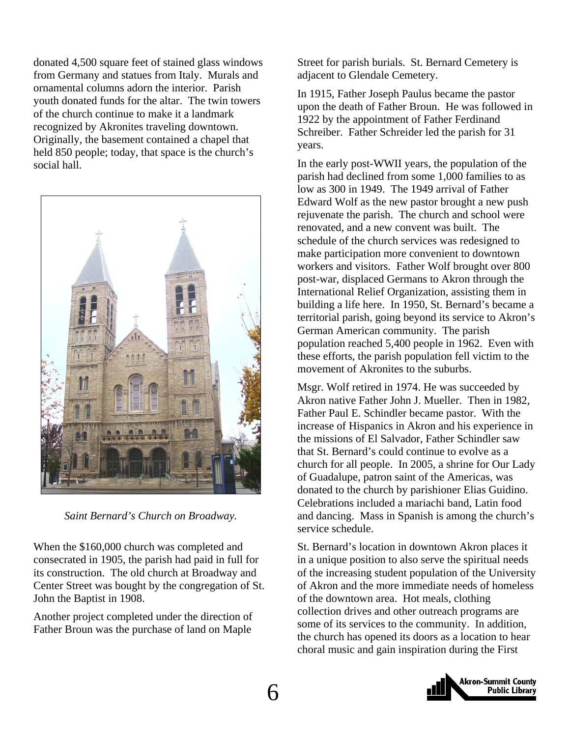donated 4,500 square feet of stained glass windows from Germany and statues from Italy. Murals and ornamental columns adorn the interior. Parish youth donated funds for the altar. The twin towers of the church continue to make it a landmark recognized by Akronites traveling downtown. Originally, the basement contained a chapel that held 850 people; today, that space is the church's social hall.



*Saint Bernard's Church on Broadway.* 

When the \$160,000 church was completed and consecrated in 1905, the parish had paid in full for its construction. The old church at Broadway and Center Street was bought by the congregation of St. John the Baptist in 1908.

Another project completed under the direction of Father Broun was the purchase of land on Maple Street for parish burials. St. Bernard Cemetery is adjacent to Glendale Cemetery.

In 1915, Father Joseph Paulus became the pastor upon the death of Father Broun. He was followed in 1922 by the appointment of Father Ferdinand Schreiber. Father Schreider led the parish for 31 years.

In the early post-WWII years, the population of the parish had declined from some 1,000 families to as low as 300 in 1949. The 1949 arrival of Father Edward Wolf as the new pastor brought a new push rejuvenate the parish. The church and school were renovated, and a new convent was built. The schedule of the church services was redesigned to make participation more convenient to downtown workers and visitors. Father Wolf brought over 800 post-war, displaced Germans to Akron through the International Relief Organization, assisting them in building a life here. In 1950, St. Bernard's became a territorial parish, going beyond its service to Akron's German American community. The parish population reached 5,400 people in 1962. Even with these efforts, the parish population fell victim to the movement of Akronites to the suburbs.

Msgr. Wolf retired in 1974. He was succeeded by Akron native Father John J. Mueller. Then in 1982, Father Paul E. Schindler became pastor. With the increase of Hispanics in Akron and his experience in the missions of El Salvador, Father Schindler saw that St. Bernard's could continue to evolve as a church for all people. In 2005, a shrine for Our Lady of Guadalupe, patron saint of the Americas, was donated to the church by parishioner Elias Guidino. Celebrations included a mariachi band, Latin food and dancing. Mass in Spanish is among the church's service schedule.

St. Bernard's location in downtown Akron places it in a unique position to also serve the spiritual needs of the increasing student population of the University of Akron and the more immediate needs of homeless of the downtown area. Hot meals, clothing collection drives and other outreach programs are some of its services to the community. In addition, the church has opened its doors as a location to hear choral music and gain inspiration during the First

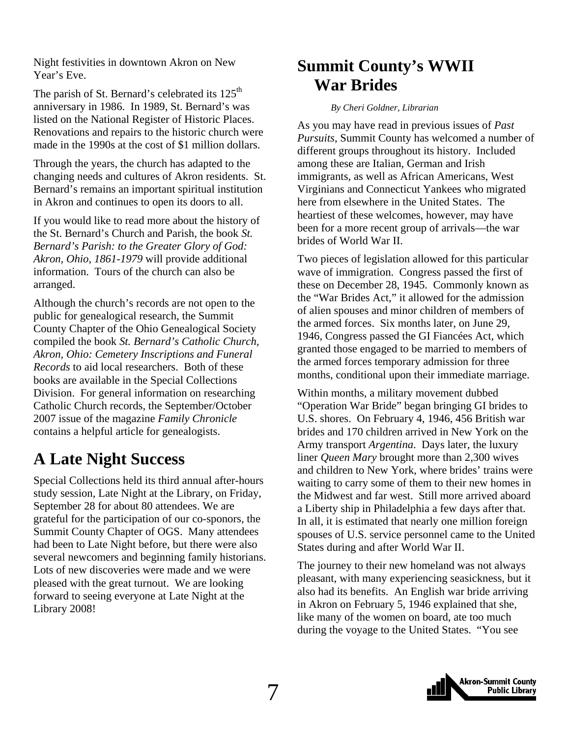<span id="page-6-0"></span>Night festivities in downtown Akron on New Year's Eve.

The parish of St. Bernard's celebrated its  $125<sup>th</sup>$ anniversary in 1986. In 1989, St. Bernard's was listed on the National Register of Historic Places. Renovations and repairs to the historic church were made in the 1990s at the cost of \$1 million dollars.

Through the years, the church has adapted to the changing needs and cultures of Akron residents. St. Bernard's remains an important spiritual institution in Akron and continues to open its doors to all.

If you would like to read more about the history of the St. Bernard's Church and Parish, the book *St. Bernard's Parish: to the Greater Glory of God: Akron, Ohio, 1861-1979* will provide additional information. Tours of the church can also be arranged.

Although the church's records are not open to the public for genealogical research, the Summit County Chapter of the Ohio Genealogical Society compiled the book *St. Bernard's Catholic Church, Akron, Ohio: Cemetery Inscriptions and Funeral Records* to aid local researchers. Both of these books are available in the Special Collections Division. For general information on researching Catholic Church records, the September/October 2007 issue of the magazine *Family Chronicle* contains a helpful article for genealogists.

### **A Late Night Success**

Special Collections held its third annual after-hours study session, Late Night at the Library, on Friday, September 28 for about 80 attendees. We are grateful for the participation of our co-sponors, the Summit County Chapter of OGS. Many attendees had been to Late Night before, but there were also several newcomers and beginning family historians. Lots of new discoveries were made and we were pleased with the great turnout. We are looking forward to seeing everyone at Late Night at the Library 2008!

### **Summit County's WWII War Brides**

#### *By Cheri Goldner, Librarian*

As you may have read in previous issues of *Past Pursuits*, Summit County has welcomed a number of different groups throughout its history. Included among these are Italian, German and Irish immigrants, as well as African Americans, West Virginians and Connecticut Yankees who migrated here from elsewhere in the United States. The heartiest of these welcomes, however, may have been for a more recent group of arrivals—the war brides of World War II.

Two pieces of legislation allowed for this particular wave of immigration. Congress passed the first of these on December 28, 1945. Commonly known as the "War Brides Act," it allowed for the admission of alien spouses and minor children of members of the armed forces. Six months later, on June 29, 1946, Congress passed the GI Fiancées Act, which granted those engaged to be married to members of the armed forces temporary admission for three months, conditional upon their immediate marriage.

Within months, a military movement dubbed "Operation War Bride" began bringing GI brides to U.S. shores. On February 4, 1946, 456 British war brides and 170 children arrived in New York on the Army transport *Argentina*. Days later, the luxury liner *Queen Mary* brought more than 2,300 wives and children to New York, where brides' trains were waiting to carry some of them to their new homes in the Midwest and far west. Still more arrived aboard a Liberty ship in Philadelphia a few days after that. In all, it is estimated that nearly one million foreign spouses of U.S. service personnel came to the United States during and after World War II.

The journey to their new homeland was not always pleasant, with many experiencing seasickness, but it also had its benefits. An English war bride arriving in Akron on February 5, 1946 explained that she, like many of the women on board, ate too much during the voyage to the United States. "You see

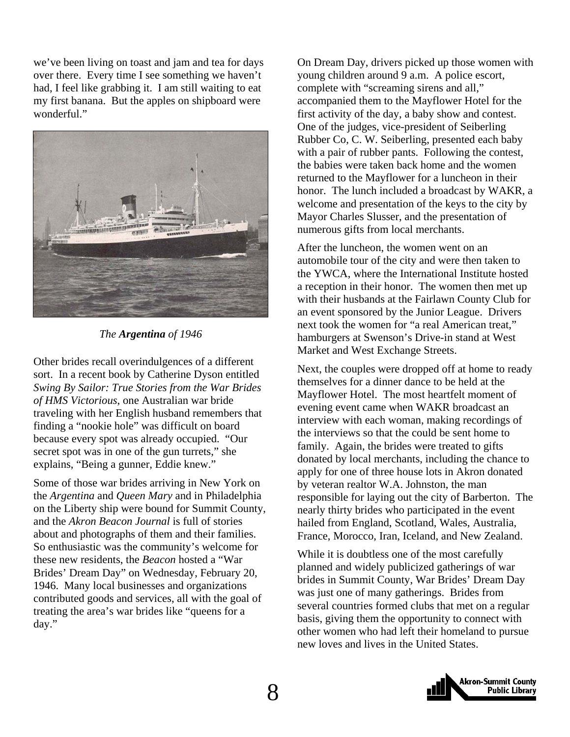we've been living on toast and jam and tea for days over there. Every time I see something we haven't had, I feel like grabbing it. I am still waiting to eat my first banana. But the apples on shipboard were wonderful."



*The Argentina of 1946* 

Other brides recall overindulgences of a different sort. In a recent book by Catherine Dyson entitled *Swing By Sailor: True Stories from the War Brides of HMS Victorious*, one Australian war bride traveling with her English husband remembers that finding a "nookie hole" was difficult on board because every spot was already occupied. "Our secret spot was in one of the gun turrets," she explains, "Being a gunner, Eddie knew."

Some of those war brides arriving in New York on the *Argentina* and *Queen Mary* and in Philadelphia on the Liberty ship were bound for Summit County, and the *Akron Beacon Journal* is full of stories about and photographs of them and their families. So enthusiastic was the community's welcome for these new residents, the *Beacon* hosted a "War Brides' Dream Day" on Wednesday, February 20, 1946. Many local businesses and organizations contributed goods and services, all with the goal of treating the area's war brides like "queens for a day."

On Dream Day, drivers picked up those women with young children around 9 a.m. A police escort, complete with "screaming sirens and all," accompanied them to the Mayflower Hotel for the first activity of the day, a baby show and contest. One of the judges, vice-president of Seiberling Rubber Co, C. W. Seiberling, presented each baby with a pair of rubber pants. Following the contest, the babies were taken back home and the women returned to the Mayflower for a luncheon in their honor. The lunch included a broadcast by WAKR, a welcome and presentation of the keys to the city by Mayor Charles Slusser, and the presentation of numerous gifts from local merchants.

After the luncheon, the women went on an automobile tour of the city and were then taken to the YWCA, where the International Institute hosted a reception in their honor. The women then met up with their husbands at the Fairlawn County Club for an event sponsored by the Junior League. Drivers next took the women for "a real American treat," hamburgers at Swenson's Drive-in stand at West Market and West Exchange Streets.

Next, the couples were dropped off at home to ready themselves for a dinner dance to be held at the Mayflower Hotel. The most heartfelt moment of evening event came when WAKR broadcast an interview with each woman, making recordings of the interviews so that the could be sent home to family. Again, the brides were treated to gifts donated by local merchants, including the chance to apply for one of three house lots in Akron donated by veteran realtor W.A. Johnston, the man responsible for laying out the city of Barberton. The nearly thirty brides who participated in the event hailed from England, Scotland, Wales, Australia, France, Morocco, Iran, Iceland, and New Zealand.

While it is doubtless one of the most carefully planned and widely publicized gatherings of war brides in Summit County, War Brides' Dream Day was just one of many gatherings. Brides from several countries formed clubs that met on a regular basis, giving them the opportunity to connect with other women who had left their homeland to pursue new loves and lives in the United States.

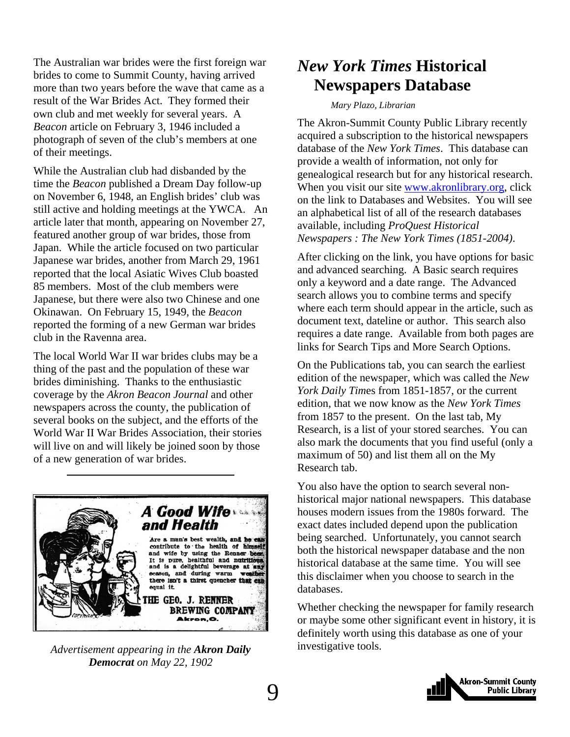<span id="page-8-0"></span>The Australian war brides were the first foreign war brides to come to Summit County, having arrived more than two years before the wave that came as a result of the War Brides Act. They formed their own club and met weekly for several years. A *Beacon* article on February 3, 1946 included a photograph of seven of the club's members at one of their meetings.

While the Australian club had disbanded by the time the *Beacon* published a Dream Day follow-up on November 6, 1948, an English brides' club was still active and holding meetings at the YWCA. An article later that month, appearing on November 27, featured another group of war brides, those from Japan. While the article focused on two particular Japanese war brides, another from March 29, 1961 reported that the local Asiatic Wives Club boasted 85 members. Most of the club members were Japanese, but there were also two Chinese and one Okinawan. On February 15, 1949, the *Beacon* reported the forming of a new German war brides club in the Ravenna area.

The local World War II war brides clubs may be a thing of the past and the population of these war brides diminishing. Thanks to the enthusiastic coverage by the *Akron Beacon Journal* and other newspapers across the county, the publication of several books on the subject, and the efforts of the World War II War Brides Association, their stories will live on and will likely be joined soon by those of a new generation of war brides.



*Advertisement appearing in the Akron Daily* investigative tools. *Democrat on May 22, 1902* 

### *New York Times* **Historical Newspapers Database**

#### *Mary Plazo, Librarian*

The Akron-Summit County Public Library recently acquired a subscription to the historical newspapers database of the *New York Times*. This database can provide a wealth of information, not only for genealogical research but for any historical research. When you visit our site [www.akronlibrary.org,](http://www.akronlibrary.org/) click on the link to Databases and Websites. You will see an alphabetical list of all of the research databases available, including *ProQuest Historical Newspapers : The New York Times (1851-2004)*.

After clicking on the link, you have options for basic and advanced searching. A Basic search requires only a keyword and a date range. The Advanced search allows you to combine terms and specify where each term should appear in the article, such as document text, dateline or author. This search also requires a date range. Available from both pages are links for Search Tips and More Search Options.

On the Publications tab, you can search the earliest edition of the newspaper, which was called the *New York Daily Tim*es from 1851-1857, or the current edition, that we now know as the *New York Times* from 1857 to the present. On the last tab, My Research, is a list of your stored searches. You can also mark the documents that you find useful (only a maximum of 50) and list them all on the My Research tab.

You also have the option to search several nonhistorical major national newspapers. This database houses modern issues from the 1980s forward. The exact dates included depend upon the publication being searched. Unfortunately, you cannot search both the historical newspaper database and the non historical database at the same time. You will see this disclaimer when you choose to search in the databases.

Whether checking the newspaper for family research or maybe some other significant event in history, it is definitely worth using this database as one of your

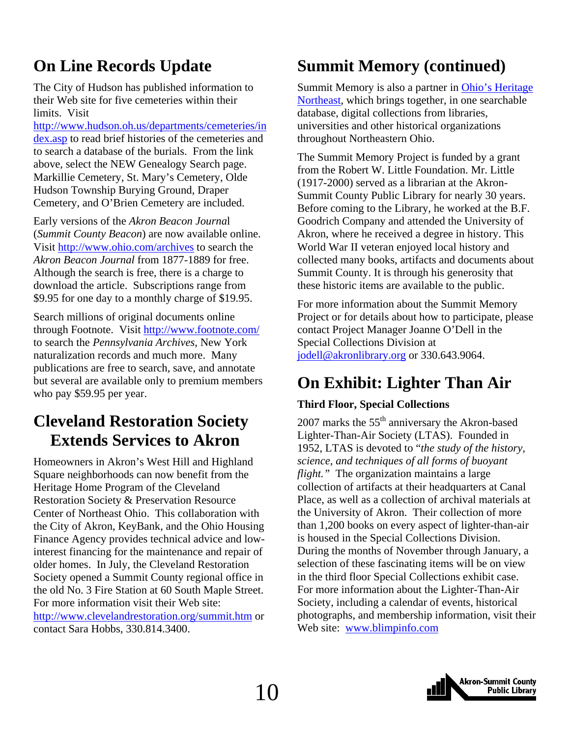### <span id="page-9-0"></span>**On Line Records Update**

The City of Hudson has published information to their Web site for five cemeteries within their limits. Visit

[http://www.hudson.oh.us/departments/cemeteries/in](http://www.hudson.oh.us/departments/cemeteries/index.asp) [dex.asp](http://www.hudson.oh.us/departments/cemeteries/index.asp) to read brief histories of the cemeteries and to search a database of the burials. From the link above, select the NEW Genealogy Search page. Markillie Cemetery, St. Mary's Cemetery, Olde Hudson Township Burying Ground, Draper Cemetery, and O'Brien Cemetery are included.

Early versions of the *Akron Beacon Journa*l (*Summit County Beacon*) are now available online. Visit<http://www.ohio.com/archives> to search the *Akron Beacon Journal* from 1877-1889 for free. Although the search is free, there is a charge to download the article. Subscriptions range from \$9.95 for one day to a monthly charge of \$19.95.

Search millions of original documents online through Footnote. Visit<http://www.footnote.com/> to search the *Pennsylvania Archives*, New York naturalization records and much more. Many publications are free to search, save, and annotate but several are available only to premium members who pay \$59.95 per year.

### **Cleveland Restoration Society Extends Services to Akron**

Homeowners in Akron's West Hill and Highland Square neighborhoods can now benefit from the Heritage Home Program of the Cleveland Restoration Society & Preservation Resource Center of Northeast Ohio. This collaboration with the City of Akron, KeyBank, and the Ohio Housing Finance Agency provides technical advice and lowinterest financing for the maintenance and repair of older homes. In July, the Cleveland Restoration Society opened a Summit County regional office in the old No. 3 Fire Station at 60 South Maple Street. For more information visit their Web site: <http://www.clevelandrestoration.org/summit.htm>or contact Sara Hobbs, 330.814.3400.

### **Summit Memory (continued)**

Summit Memory is also a partner in [Ohio's Heritage](http://www.ohiosheritagenortheast.org/)  [Northeast](http://www.ohiosheritagenortheast.org/), which brings together, in one searchable database, digital collections from libraries, universities and other historical organizations throughout Northeastern Ohio.

The Summit Memory Project is funded by a grant from the Robert W. Little Foundation. Mr. Little (1917-2000) served as a librarian at the Akron-Summit County Public Library for nearly 30 years. Before coming to the Library, he worked at the B.F. Goodrich Company and attended the University of Akron, where he received a degree in history. This World War II veteran enjoyed local history and collected many books, artifacts and documents about Summit County. It is through his generosity that these historic items are available to the public.

For more information about the Summit Memory Project or for details about how to participate, please contact Project Manager Joanne O'Dell in the Special Collections Division at [jodell@akronlibrary.org](mailto:jodell@akronlibrary.org) or 330.643.9064.

### **On Exhibit: Lighter Than Air**

#### **Third Floor, Special Collections**

2007 marks the  $55<sup>th</sup>$  anniversary the Akron-based Lighter-Than-Air Society (LTAS). Founded in 1952, LTAS is devoted to "*the study of the history, science, and techniques of all forms of buoyant flight."* The organization maintains a large collection of artifacts at their headquarters at Canal Place, as well as a collection of archival materials at the University of Akron. Their collection of more than 1,200 books on every aspect of lighter-than-air is housed in the Special Collections Division. During the months of November through January, a selection of these fascinating items will be on view in the third floor Special Collections exhibit case. For more information about the Lighter-Than-Air Society, including a calendar of events, historical photographs, and membership information, visit their Web site: [www.blimpinfo.com](http://www.blimpinfo.com/)

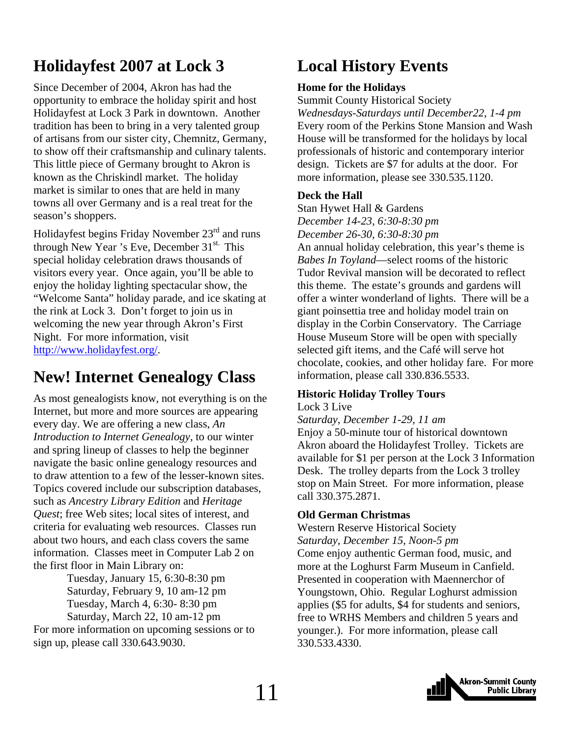### <span id="page-10-0"></span>**Holidayfest 2007 at Lock 3**

Since December of 2004, Akron has had the opportunity to embrace the holiday spirit and host Holidayfest at Lock 3 Park in downtown. Another tradition has been to bring in a very talented group of artisans from our sister city, Chemnitz, Germany, to show off their craftsmanship and culinary talents. This little piece of Germany brought to Akron is known as the Chriskindl market. The holiday market is similar to ones that are held in many towns all over Germany and is a real treat for the season's shoppers.

Holidayfest begins Friday November 23rd and runs through New Year 's Eve, December 31<sup>st.</sup> This special holiday celebration draws thousands of visitors every year. Once again, you'll be able to enjoy the holiday lighting spectacular show, the "Welcome Santa" holiday parade, and ice skating at the rink at Lock 3. Don't forget to join us in welcoming the new year through Akron's First Night. For more information, visit <http://www.holidayfest.org/>.

### **New! Internet Genealogy Class**

As most genealogists know, not everything is on the Internet, but more and more sources are appearing every day. We are offering a new class, *An Introduction to Internet Genealogy*, to our winter and spring lineup of classes to help the beginner navigate the basic online genealogy resources and to draw attention to a few of the lesser-known sites. Topics covered include our subscription databases, such as *Ancestry Library Edition* and *Heritage Quest*; free Web sites; local sites of interest, and criteria for evaluating web resources. Classes run about two hours, and each class covers the same information. Classes meet in Computer Lab 2 on the first floor in Main Library on:

Tuesday, January 15, 6:30-8:30 pm Saturday, February 9, 10 am-12 pm Tuesday, March 4, 6:30- 8:30 pm Saturday, March 22, 10 am-12 pm For more information on upcoming sessions or to sign up, please call 330.643.9030.

### **Local History Events**

#### **Home for the Holidays**

Summit County Historical Society

*Wednesdays-Saturdays until December22, 1-4 pm*  Every room of the Perkins Stone Mansion and Wash House will be transformed for the holidays by local professionals of historic and contemporary interior design. Tickets are \$7 for adults at the door. For more information, please see 330.535.1120.

#### **Deck the Hall**

Stan Hywet Hall & Gardens *December 14-23, 6:30-8:30 pm* 

*December 26-30, 6:30-8:30 pm* 

An annual holiday celebration, this year's theme is *Babes In Toyland*—select rooms of the historic Tudor Revival mansion will be decorated to reflect this theme. The estate's grounds and gardens will offer a winter wonderland of lights. There will be a giant poinsettia tree and holiday model train on display in the Corbin Conservatory. The Carriage House Museum Store will be open with specially selected gift items, and the Café will serve hot chocolate, cookies, and other holiday fare. For more information, please call 330.836.5533.

#### **Historic Holiday Trolley Tours**

Lock 3 Live

*Saturday, December 1-29, 11 am* 

Enjoy a 50-minute tour of historical downtown Akron aboard the Holidayfest Trolley. Tickets are available for \$1 per person at the Lock 3 Information Desk. The trolley departs from the Lock 3 trolley stop on Main Street. For more information, please call 330.375.2871.

#### **Old German Christmas**

Western Reserve Historical Society *Saturday, December 15, Noon-5 pm*  Come enjoy authentic German food, music, and more at the Loghurst Farm Museum in Canfield. Presented in cooperation with Maennerchor of Youngstown, Ohio. Regular Loghurst admission applies (\$5 for adults, \$4 for students and seniors, free to WRHS Members and children 5 years and younger.). For more information, please call 330.533.4330.

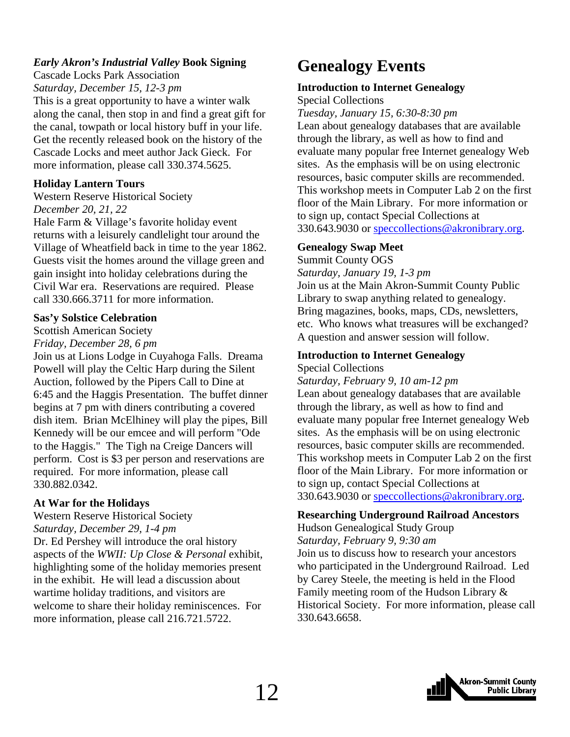#### <span id="page-11-0"></span>*Early Akron's Industrial Valley* **Book Signing**

#### Cascade Locks Park Association

*Saturday, December 15, 12-3 pm*  This is a great opportunity to have a winter walk along the canal, then stop in and find a great gift for the canal, towpath or local history buff in your life. Get the recently released book on the history of the Cascade Locks and meet author Jack Gieck. For more information, please call 330.374.5625.

#### **Holiday Lantern Tours**

#### Western Reserve Historical Society *December 20, 21, 22*

Hale Farm & Village's favorite holiday event returns with a leisurely candlelight tour around the Village of Wheatfield back in time to the year 1862. Guests visit the homes around the village green and gain insight into holiday celebrations during the Civil War era. Reservations are required. Please call 330.666.3711 for more information.

#### **Sas'y Solstice Celebration**

#### Scottish American Society *Friday, December 28, 6 pm*

Join us at Lions Lodge in Cuyahoga Falls. Dreama Powell will play the Celtic Harp during the Silent Auction, followed by the Pipers Call to Dine at 6:45 and the Haggis Presentation. The buffet dinner begins at 7 pm with diners contributing a covered dish item. Brian McElhiney will play the pipes, Bill Kennedy will be our emcee and will perform "Ode to the Haggis." The Tigh na Creige Dancers will perform. Cost is \$3 per person and reservations are required. For more information, please call 330.882.0342.

#### **At War for the Holidays**

Western Reserve Historical Society *Saturday, December 29, 1-4 pm*  Dr. Ed Pershey will introduce the oral history aspects of the *WWII: Up Close & Personal* exhibit, highlighting some of the holiday memories present in the exhibit. He will lead a discussion about wartime holiday traditions, and visitors are welcome to share their holiday reminiscences. For more information, please call 216.721.5722.

### **Genealogy Events**

#### **Introduction to Internet Genealogy**

#### Special Collections

*Tuesday, January 15, 6:30-8:30 pm* 

Lean about genealogy databases that are available through the library, as well as how to find and evaluate many popular free Internet genealogy Web sites. As the emphasis will be on using electronic resources, basic computer skills are recommended. This workshop meets in Computer Lab 2 on the first floor of the Main Library. For more information or to sign up, contact Special Collections at 330.643.9030 or [speccollections@akronibrary.org.](mailto:speccollections@akronibrary.org)

#### **Genealogy Swap Meet**

Summit County OGS

*Saturday, January 19, 1-3 pm*  Join us at the Main Akron-Summit County Public Library to swap anything related to genealogy.

Bring magazines, books, maps, CDs, newsletters, etc. Who knows what treasures will be exchanged? A question and answer session will follow.

#### **Introduction to Internet Genealogy**

Special Collections

*Saturday, February 9, 10 am-12 pm* 

Lean about genealogy databases that are available through the library, as well as how to find and evaluate many popular free Internet genealogy Web sites. As the emphasis will be on using electronic resources, basic computer skills are recommended. This workshop meets in Computer Lab 2 on the first floor of the Main Library. For more information or to sign up, contact Special Collections at 330.643.9030 or [speccollections@akronibrary.org.](mailto:speccollections@akronibrary.org)

#### **Researching Underground Railroad Ancestors**

Hudson Genealogical Study Group *Saturday, February 9, 9:30 am*  Join us to discuss how to research your ancestors who participated in the Underground Railroad. Led by Carey Steele, the meeting is held in the Flood Family meeting room of the Hudson Library & Historical Society. For more information, please call 330.643.6658.

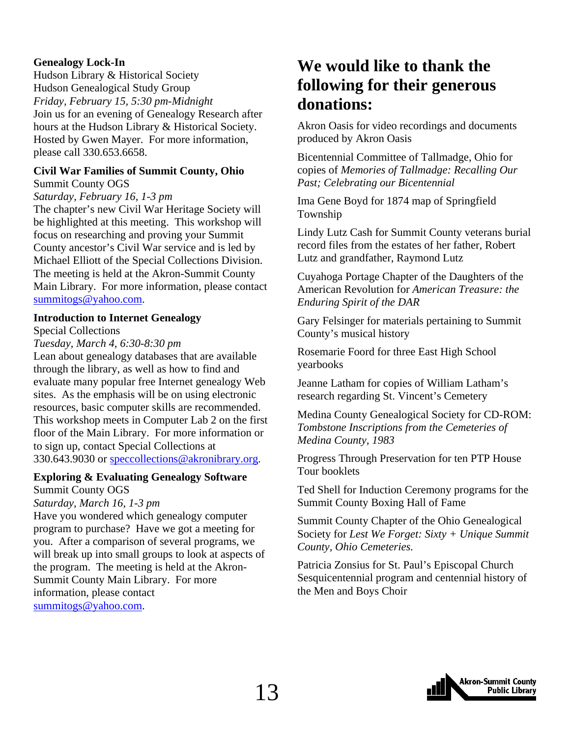#### <span id="page-12-0"></span>**Genealogy Lock-In**

Hudson Library & Historical Society Hudson Genealogical Study Group *Friday, February 15, 5:30 pm-Midnight*  Join us for an evening of Genealogy Research after hours at the Hudson Library & Historical Society. Hosted by Gwen Mayer. For more information, please call 330.653.6658.

#### **Civil War Families of Summit County, Ohio**  Summit County OGS

#### *Saturday, February 16, 1-3 pm*

The chapter's new Civil War Heritage Society will be highlighted at this meeting. This workshop will focus on researching and proving your Summit County ancestor's Civil War service and is led by Michael Elliott of the Special Collections Division. The meeting is held at the Akron-Summit County Main Library. For more information, please contact [summitogs@yahoo.com.](mailto:summitogs@yahoo.com)

#### **Introduction to Internet Genealogy**

Special Collections

*Tuesday, March 4, 6:30-8:30 pm* 

Lean about genealogy databases that are available through the library, as well as how to find and evaluate many popular free Internet genealogy Web sites. As the emphasis will be on using electronic resources, basic computer skills are recommended. This workshop meets in Computer Lab 2 on the first floor of the Main Library. For more information or to sign up, contact Special Collections at 330.643.9030 or [speccollections@akronibrary.org](mailto:speccollections@akronibrary.org).

#### **Exploring & Evaluating Genealogy Software**  Summit County OGS

#### *Saturday, March 16, 1-3 pm*

Have you wondered which genealogy computer program to purchase? Have we got a meeting for you. After a comparison of several programs, we will break up into small groups to look at aspects of the program. The meeting is held at the Akron-Summit County Main Library. For more information, please contact [summitogs@yahoo.com.](mailto:summitogs@yahoo.com)

### **We would like to thank the following for their generous donations:**

Akron Oasis for video recordings and documents produced by Akron Oasis

Bicentennial Committee of Tallmadge, Ohio for copies of *Memories of Tallmadge: Recalling Our Past; Celebrating our Bicentennial*

Ima Gene Boyd for 1874 map of Springfield Township

Lindy Lutz Cash for Summit County veterans burial record files from the estates of her father, Robert Lutz and grandfather, Raymond Lutz

Cuyahoga Portage Chapter of the Daughters of the American Revolution for *American Treasure: the Enduring Spirit of the DAR*

Gary Felsinger for materials pertaining to Summit County's musical history

Rosemarie Foord for three East High School yearbooks

Jeanne Latham for copies of William Latham's research regarding St. Vincent's Cemetery

Medina County Genealogical Society for CD-ROM: *Tombstone Inscriptions from the Cemeteries of Medina County, 1983*

Progress Through Preservation for ten PTP House Tour booklets

Ted Shell for Induction Ceremony programs for the Summit County Boxing Hall of Fame

Summit County Chapter of the Ohio Genealogical Society for *Lest We Forget: Sixty + Unique Summit County, Ohio Cemeteries.*

Patricia Zonsius for St. Paul's Episcopal Church Sesquicentennial program and centennial history of the Men and Boys Choir

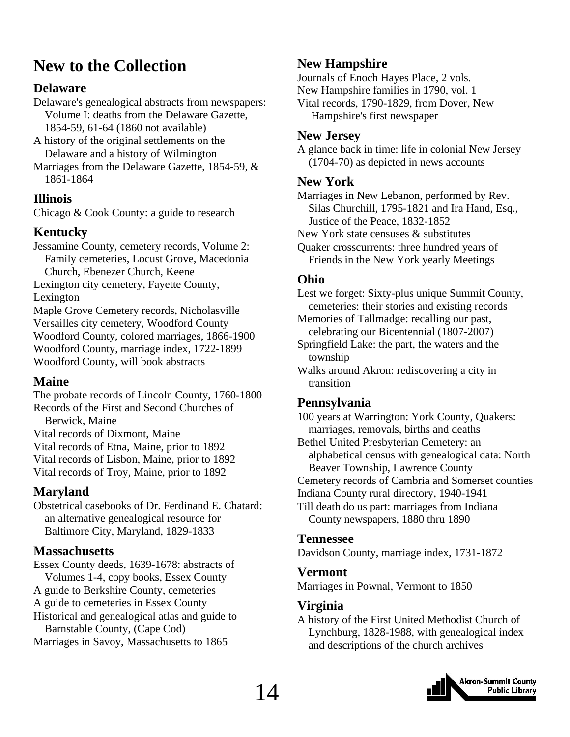### <span id="page-13-0"></span>**New to the Collection**

#### **Delaware**

- Delaware's genealogical abstracts from newspapers: Volume I: deaths from the Delaware Gazette, 1854-59, 61-64 (1860 not available)
- A history of the original settlements on the Delaware and a history of Wilmington
- Marriages from the Delaware Gazette, 1854-59, & 1861-1864

#### **Illinois**

Chicago & Cook County: a guide to research

#### **Kentucky**

Jessamine County, cemetery records, Volume 2: Family cemeteries, Locust Grove, Macedonia Church, Ebenezer Church, Keene

Lexington city cemetery, Fayette County, Lexington

Maple Grove Cemetery records, Nicholasville Versailles city cemetery, Woodford County Woodford County, colored marriages, 1866-1900 Woodford County, marriage index, 1722-1899 Woodford County, will book abstracts

#### **Maine**

The probate records of Lincoln County, 1760-1800 Records of the First and Second Churches of Berwick, Maine Vital records of Dixmont, Maine Vital records of Etna, Maine, prior to 1892 Vital records of Lisbon, Maine, prior to 1892

Vital records of Troy, Maine, prior to 1892

#### **Maryland**

Obstetrical casebooks of Dr. Ferdinand E. Chatard: an alternative genealogical resource for Baltimore City, Maryland, 1829-1833

#### **Massachusetts**

Essex County deeds, 1639-1678: abstracts of Volumes 1-4, copy books, Essex County A guide to Berkshire County, cemeteries A guide to cemeteries in Essex County Historical and genealogical atlas and guide to Barnstable County, (Cape Cod) Marriages in Savoy, Massachusetts to 1865

### **New Hampshire**

Journals of Enoch Hayes Place, 2 vols. New Hampshire families in 1790, vol. 1 Vital records, 1790-1829, from Dover, New Hampshire's first newspaper

#### **New Jersey**

A glance back in time: life in colonial New Jersey (1704-70) as depicted in news accounts

#### **New York**

Marriages in New Lebanon, performed by Rev. Silas Churchill, 1795-1821 and Ira Hand, Esq., Justice of the Peace, 1832-1852

New York state censuses & substitutes

Quaker crosscurrents: three hundred years of Friends in the New York yearly Meetings

#### **Ohio**

Lest we forget: Sixty-plus unique Summit County, cemeteries: their stories and existing records

Memories of Tallmadge: recalling our past, celebrating our Bicentennial (1807-2007)

Springfield Lake: the part, the waters and the township

Walks around Akron: rediscovering a city in transition

#### **Pennsylvania**

100 years at Warrington: York County, Quakers: marriages, removals, births and deaths Bethel United Presbyterian Cemetery: an

 alphabetical census with genealogical data: North Beaver Township, Lawrence County

Cemetery records of Cambria and Somerset counties

Indiana County rural directory, 1940-1941

Till death do us part: marriages from Indiana County newspapers, 1880 thru 1890

#### **Tennessee**

Davidson County, marriage index, 1731-1872

#### **Vermont**

Marriages in Pownal, Vermont to 1850

#### **Virginia**

A history of the First United Methodist Church of Lynchburg, 1828-1988, with genealogical index and descriptions of the church archives

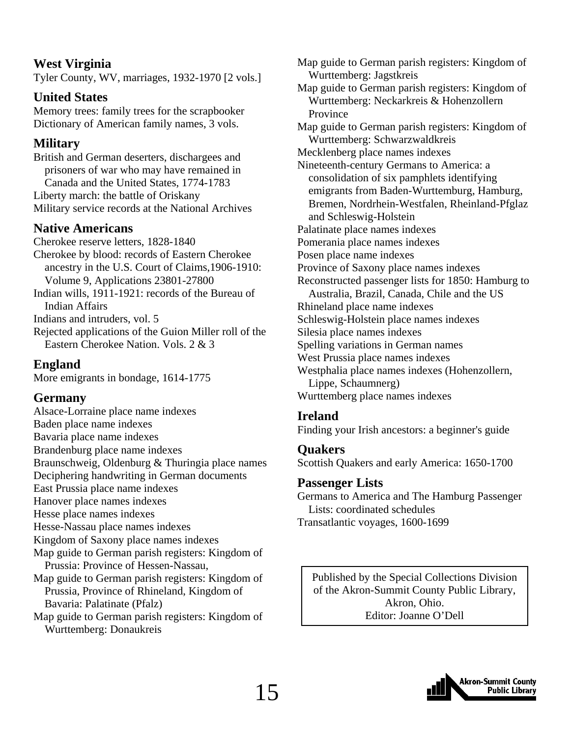#### **West Virginia**

Tyler County, WV, marriages, 1932-1970 [2 vols.]

#### **United States**

Memory trees: family trees for the scrapbooker Dictionary of American family names, 3 vols.

#### **Military**

British and German deserters, dischargees and prisoners of war who may have remained in Canada and the United States, 1774-1783 Liberty march: the battle of Oriskany Military service records at the National Archives

#### **Native Americans**

Cherokee reserve letters, 1828-1840 Cherokee by blood: records of Eastern Cherokee ancestry in the U.S. Court of Claims,1906-1910: Volume 9, Applications 23801-27800 Indian wills, 1911-1921: records of the Bureau of Indian Affairs Indians and intruders, vol. 5 Rejected applications of the Guion Miller roll of the Eastern Cherokee Nation. Vols. 2 & 3

#### **England**

More emigrants in bondage, 1614-1775

#### **Germany**

Alsace-Lorraine place name indexes Baden place name indexes Bavaria place name indexes Brandenburg place name indexes Braunschweig, Oldenburg & Thuringia place names Deciphering handwriting in German documents East Prussia place name indexes Hanover place names indexes Hesse place names indexes Hesse-Nassau place names indexes Kingdom of Saxony place names indexes Map guide to German parish registers: Kingdom of Prussia: Province of Hessen-Nassau, Map guide to German parish registers: Kingdom of Prussia, Province of Rhineland, Kingdom of Bavaria: Palatinate (Pfalz) Map guide to German parish registers: Kingdom of Wurttemberg: Donaukreis

Map guide to German parish registers: Kingdom of Wurttemberg: Jagstkreis Map guide to German parish registers: Kingdom of Wurttemberg: Neckarkreis & Hohenzollern Province Map guide to German parish registers: Kingdom of Wurttemberg: Schwarzwaldkreis Mecklenberg place names indexes Nineteenth-century Germans to America: a consolidation of six pamphlets identifying emigrants from Baden-Wurttemburg, Hamburg, Bremen, Nordrhein-Westfalen, Rheinland-Pfglaz and Schleswig-Holstein Palatinate place names indexes Pomerania place names indexes Posen place name indexes Province of Saxony place names indexes Reconstructed passenger lists for 1850: Hamburg to Australia, Brazil, Canada, Chile and the US Rhineland place name indexes Schleswig-Holstein place names indexes Silesia place names indexes Spelling variations in German names West Prussia place names indexes Westphalia place names indexes (Hohenzollern, Lippe, Schaumnerg) Wurttemberg place names indexes

#### **Ireland**

Finding your Irish ancestors: a beginner's guide

#### **Quakers**

Scottish Quakers and early America: 1650-1700

#### **Passenger Lists**

Germans to America and The Hamburg Passenger Lists: coordinated schedules Transatlantic voyages, 1600-1699

Published by the Special Collections Division of the Akron-Summit County Public Library, Akron, Ohio. Editor: Joanne O'Dell